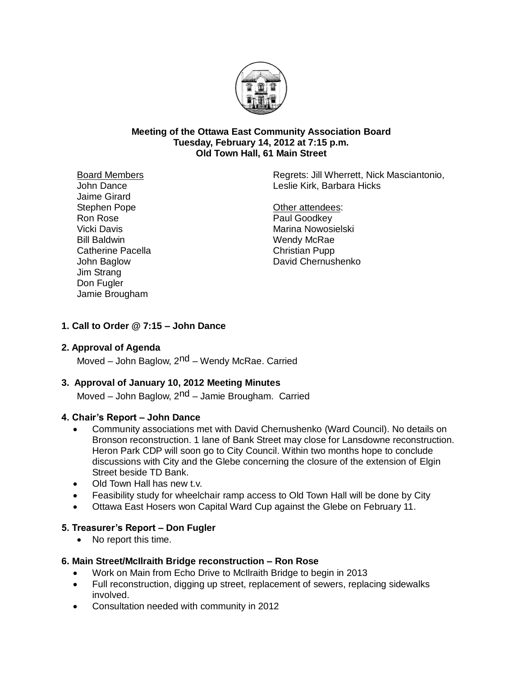

#### **Meeting of the Ottawa East Community Association Board Tuesday, February 14, 2012 at 7:15 p.m. Old Town Hall, 61 Main Street**

Board Members John Dance Jaime Girard Stephen Pope Ron Rose Vicki Davis Bill Baldwin Catherine Pacella John Baglow Jim Strang Don Fugler Jamie Brougham

Regrets: Jill Wherrett, Nick Masciantonio, Leslie Kirk, Barbara Hicks

Other attendees: Paul Goodkey Marina Nowosielski Wendy McRae Christian Pupp David Chernushenko

# **1. Call to Order @ 7:15 – John Dance**

#### **2. Approval of Agenda**

Moved – John Baglow, 2<sup>nd</sup> – Wendy McRae. Carried

#### **3. Approval of January 10, 2012 Meeting Minutes**

Moved – John Baglow, 2<sup>nd</sup> – Jamie Brougham. Carried

#### **4. Chair's Report – John Dance**

- Community associations met with David Chernushenko (Ward Council). No details on Bronson reconstruction. 1 lane of Bank Street may close for Lansdowne reconstruction. Heron Park CDP will soon go to City Council. Within two months hope to conclude discussions with City and the Glebe concerning the closure of the extension of Elgin Street beside TD Bank.
- Old Town Hall has new t.v.
- Feasibility study for wheelchair ramp access to Old Town Hall will be done by City
- Ottawa East Hosers won Capital Ward Cup against the Glebe on February 11.

#### **5. Treasurer's Report – Don Fugler**

• No report this time.

#### **6. Main Street/McIlraith Bridge reconstruction – Ron Rose**

- Work on Main from Echo Drive to McIlraith Bridge to begin in 2013
- Full reconstruction, digging up street, replacement of sewers, replacing sidewalks involved.
- Consultation needed with community in 2012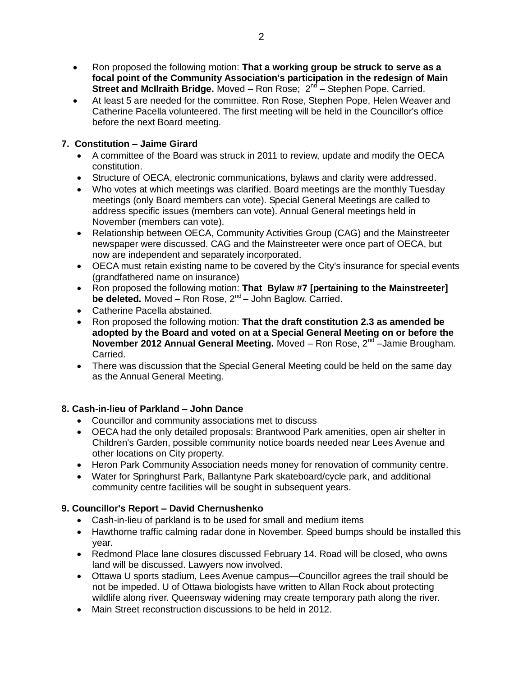- Ron proposed the following motion: **That a working group be struck to serve as a focal point of the Community Association's participation in the redesign of Main Street and McIlraith Bridge.** Moved - Ron Rose; 2<sup>nd</sup> - Stephen Pope. Carried.
- At least 5 are needed for the committee. Ron Rose, Stephen Pope, Helen Weaver and Catherine Pacella volunteered. The first meeting will be held in the Councillor's office before the next Board meeting.

# **7. Constitution – Jaime Girard**

- A committee of the Board was struck in 2011 to review, update and modify the OECA constitution.
- Structure of OECA, electronic communications, bylaws and clarity were addressed.
- Who votes at which meetings was clarified. Board meetings are the monthly Tuesday meetings (only Board members can vote). Special General Meetings are called to address specific issues (members can vote). Annual General meetings held in November (members can vote).
- Relationship between OECA, Community Activities Group (CAG) and the Mainstreeter newspaper were discussed. CAG and the Mainstreeter were once part of OECA, but now are independent and separately incorporated.
- OECA must retain existing name to be covered by the City's insurance for special events (grandfathered name on insurance)
- Ron proposed the following motion: **That Bylaw #7 [pertaining to the Mainstreeter]** be deleted. Moved - Ron Rose, 2<sup>nd</sup> - John Baglow. Carried.
- Catherine Pacella abstained.
- Ron proposed the following motion: **That the draft constitution 2.3 as amended be adopted by the Board and voted on at a Special General Meeting on or before the November 2012 Annual General Meeting.** Moved – Ron Rose, 2<sup>nd</sup> –Jamie Brougham. Carried.
- There was discussion that the Special General Meeting could be held on the same day as the Annual General Meeting.

# **8. Cash-in-lieu of Parkland – John Dance**

- Councillor and community associations met to discuss
- OECA had the only detailed proposals: Brantwood Park amenities, open air shelter in Children's Garden, possible community notice boards needed near Lees Avenue and other locations on City property.
- Heron Park Community Association needs money for renovation of community centre.
- Water for Springhurst Park, Ballantyne Park skateboard/cycle park, and additional community centre facilities will be sought in subsequent years.

# **9. Councillor's Report – David Chernushenko**

- Cash-in-lieu of parkland is to be used for small and medium items
- Hawthorne traffic calming radar done in November. Speed bumps should be installed this year.
- Redmond Place lane closures discussed February 14. Road will be closed, who owns land will be discussed. Lawyers now involved.
- Ottawa U sports stadium, Lees Avenue campus—Councillor agrees the trail should be not be impeded. U of Ottawa biologists have written to Allan Rock about protecting wildlife along river. Queensway widening may create temporary path along the river.
- Main Street reconstruction discussions to be held in 2012.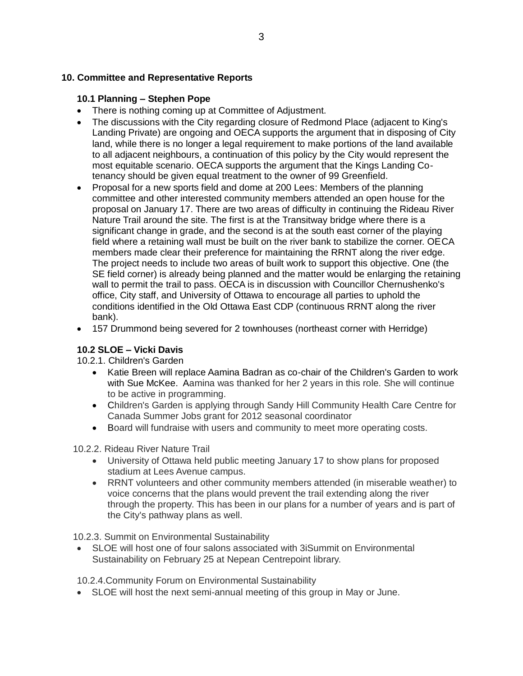### **10. Committee and Representative Reports**

## **10.1 Planning – Stephen Pope**

- There is nothing coming up at Committee of Adjustment.
- The discussions with the City regarding closure of Redmond Place (adjacent to King's Landing Private) are ongoing and OECA supports the argument that in disposing of City land, while there is no longer a legal requirement to make portions of the land available to all adjacent neighbours, a continuation of this policy by the City would represent the most equitable scenario. OECA supports the argument that the Kings Landing Cotenancy should be given equal treatment to the owner of 99 Greenfield.
- Proposal for a new sports field and dome at 200 Lees: Members of the planning committee and other interested community members attended an open house for the proposal on January 17. There are two areas of difficulty in continuing the Rideau River Nature Trail around the site. The first is at the Transitway bridge where there is a significant change in grade, and the second is at the south east corner of the playing field where a retaining wall must be built on the river bank to stabilize the corner. OECA members made clear their preference for maintaining the RRNT along the river edge. The project needs to include two areas of built work to support this objective. One (the SE field corner) is already being planned and the matter would be enlarging the retaining wall to permit the trail to pass. OECA is in discussion with Councillor Chernushenko's office, City staff, and University of Ottawa to encourage all parties to uphold the conditions identified in the Old Ottawa East CDP (continuous RRNT along the river bank).
- 157 Drummond being severed for 2 townhouses (northeast corner with Herridge)

#### **10.2 SLOE – Vicki Davis**

#### 10.2.1. Children's Garden

- Katie Breen will replace Aamina Badran as co-chair of the Children's Garden to work with Sue McKee. Aamina was thanked for her 2 years in this role. She will continue to be active in programming.
- Children's Garden is applying through Sandy Hill Community Health Care Centre for Canada Summer Jobs grant for 2012 seasonal coordinator
- Board will fundraise with users and community to meet more operating costs.

#### 10.2.2. Rideau River Nature Trail

- University of Ottawa held public meeting January 17 to show plans for proposed stadium at Lees Avenue campus.
- RRNT volunteers and other community members attended (in miserable weather) to voice concerns that the plans would prevent the trail extending along the river through the property. This has been in our plans for a number of years and is part of the City's pathway plans as well.

10.2.3. Summit on Environmental Sustainability

 SLOE will host one of four salons associated with 3iSummit on Environmental Sustainability on February 25 at Nepean Centrepoint library.

10.2.4.Community Forum on Environmental Sustainability

SLOE will host the next semi-annual meeting of this group in May or June.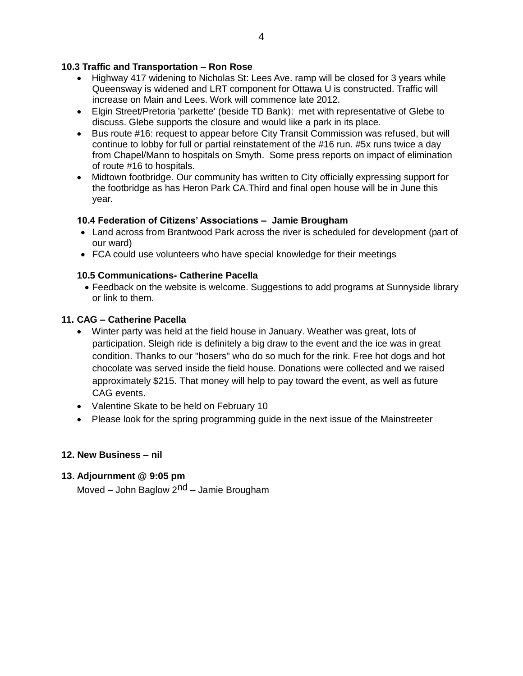## **10.3 Traffic and Transportation – Ron Rose**

- Highway 417 widening to Nicholas St: Lees Ave. ramp will be closed for 3 years while Queensway is widened and LRT component for Ottawa U is constructed. Traffic will increase on Main and Lees. Work will commence late 2012.
- Elgin Street/Pretoria 'parkette' (beside TD Bank): met with representative of Glebe to discuss. Glebe supports the closure and would like a park in its place.
- Bus route #16: request to appear before City Transit Commission was refused, but will continue to lobby for full or partial reinstatement of the #16 run. #5x runs twice a day from Chapel/Mann to hospitals on Smyth. Some press reports on impact of elimination of route #16 to hospitals.
- Midtown footbridge. Our community has written to City officially expressing support for the footbridge as has Heron Park CA.Third and final open house will be in June this year.

#### **10.4 Federation of Citizens' Associations – Jamie Brougham**

- Land across from Brantwood Park across the river is scheduled for development (part of our ward)
- FCA could use volunteers who have special knowledge for their meetings

## **10.5 Communications- Catherine Pacella**

 Feedback on the website is welcome. Suggestions to add programs at Sunnyside library or link to them.

## **11. CAG – Catherine Pacella**

- Winter party was held at the field house in January. Weather was great, lots of participation. Sleigh ride is definitely a big draw to the event and the ice was in great condition. Thanks to our "hosers" who do so much for the rink. Free hot dogs and hot chocolate was served inside the field house. Donations were collected and we raised approximately \$215. That money will help to pay toward the event, as well as future CAG events.
- Valentine Skate to be held on February 10
- Please look for the spring programming guide in the next issue of the Mainstreeter

#### **12. New Business – nil**

#### **13. Adjournment @ 9:05 pm**

Moved – John Baglow 2nd – Jamie Brougham